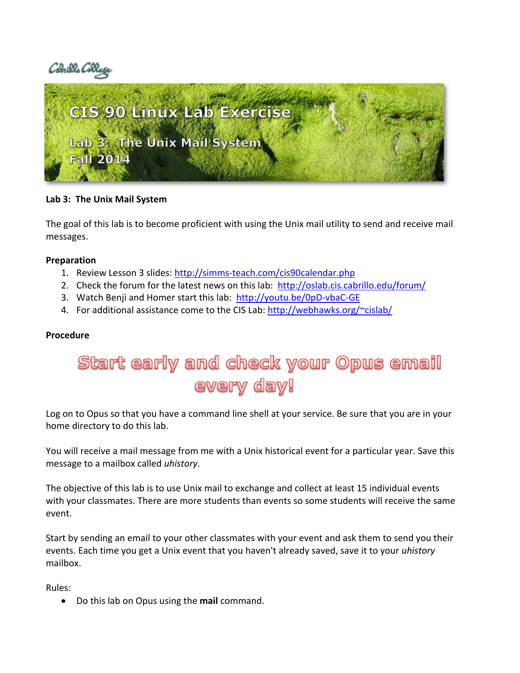



#### **Lab 3: The Unix Mail System**

The goal of this lab is to become proficient with using the Unix mail utility to send and receive mail messages.

#### **Preparation**

- 1. Review Lesson 3 slides:<http://simms-teach.com/cis90calendar.php>
- 2. Check the forum for the latest news on this lab: <http://oslab.cis.cabrillo.edu/forum/>
- 3. Watch Benji and Homer start this lab: <http://youtu.be/0pD-vbaC-GE>
- 4. For additional assistance come to the CIS Lab: <http://webhawks.org/~cislab/>

#### **Procedure**

# Start early and check your Opus email every day!

Log on to Opus so that you have a command line shell at your service. Be sure that you are in your home directory to do this lab.

You will receive a mail message from me with a Unix historical event for a particular year. Save this message to a mailbox called *uhistory*.

The objective of this lab is to use Unix mail to exchange and collect at least 15 individual events with your classmates. There are more students than events so some students will receive the same event.

Start by sending an email to your other classmates with your event and ask them to send you their events. Each time you get a Unix event that you haven't already saved, save it to your *uhistory* mailbox.

Rules:

Do this lab on Opus using the **mail** command.